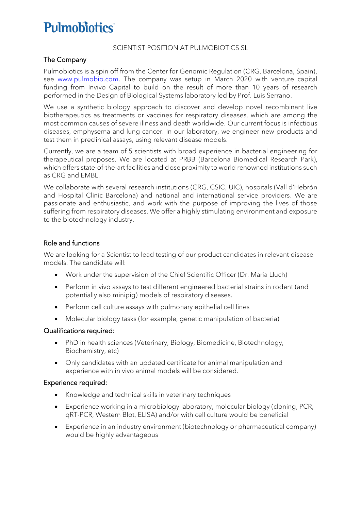# **Pulmobiotics**

#### SCIENTIST POSITION AT PULMOBIOTICS SL

## The Company

Pulmobiotics is a spin off from the Center for Genomic Regulation (CRG, Barcelona, Spain), see [www.pulmobio.com.](http://www.pulmobio.com/) The company was setup in March 2020 with venture capital funding from Invivo Capital to build on the result of more than 10 years of research performed in the Design of Biological Systems laboratory led by Prof. Luis Serrano.

We use a synthetic biology approach to discover and develop novel recombinant live biotherapeutics as treatments or vaccines for respiratory diseases, which are among the most common causes of severe illness and death worldwide. Our current focus is infectious diseases, emphysema and lung cancer. In our laboratory, we engineer new products and test them in preclinical assays, using relevant disease models.

Currently, we are a team of 5 scientists with broad experience in bacterial engineering for therapeutical proposes. We are located at PRBB (Barcelona Biomedical Research Park), which offers state-of-the-art facilities and close proximity to world renowned institutions such as CRG and EMBL.

We collaborate with several research institutions (CRG, CSIC, UIC), hospitals (Vall d'Hebrón and Hospital Clinic Barcelona) and national and international service providers. We are passionate and enthusiastic, and work with the purpose of improving the lives of those suffering from respiratory diseases. We offer a highly stimulating environment and exposure to the biotechnology industry.

### Role and functions

We are looking for a Scientist to lead testing of our product candidates in relevant disease models. The candidate will:

- Work under the supervision of the Chief Scientific Officer (Dr. Maria Lluch)
- Perform in vivo assays to test different engineered bacterial strains in rodent (and potentially also minipig) models of respiratory diseases.
- Perform cell culture assays with pulmonary epithelial cell lines
- Molecular biology tasks (for example, genetic manipulation of bacteria)

### Qualifications required:

- PhD in health sciences (Veterinary, Biology, Biomedicine, Biotechnology, Biochemistry, etc)
- Only candidates with an updated certificate for animal manipulation and experience with in vivo animal models will be considered.

#### Experience required:

- Knowledge and technical skills in veterinary techniques
- Experience working in a microbiology laboratory, molecular biology (cloning, PCR, qRT-PCR, Western Blot, ELISA) and/or with cell culture would be beneficial
- Experience in an industry environment (biotechnology or pharmaceutical company) would be highly advantageous